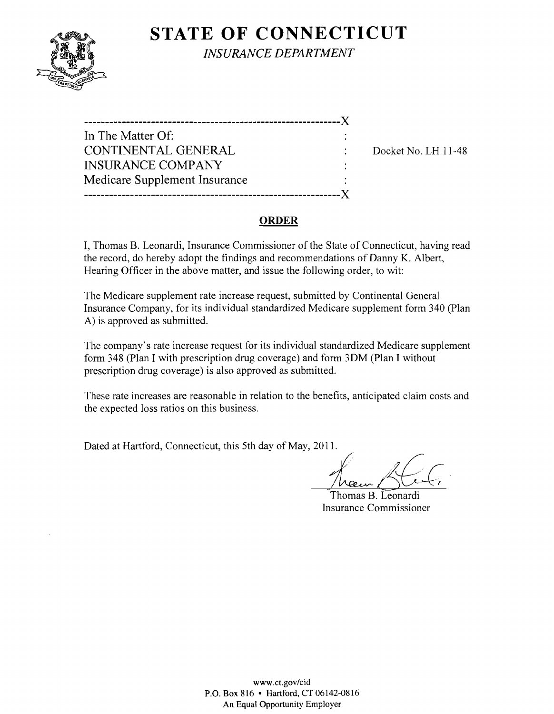## **STATE OF CONNECTICUT**



*INSURANCE DEPARTMENT* 

| -------------                 |  |
|-------------------------------|--|
| In The Matter Of:             |  |
| CONTINENTAL GENERAL           |  |
| <b>INSURANCE COMPANY</b>      |  |
| Medicare Supplement Insurance |  |
|                               |  |

Docket No. LH 11-48

#### **ORDER**

I, Thomas B. Leonardi, Insurance Commissioner of the State of Connecticut, having read the record, do hereby adopt the findings and recommendations of Danny K. Albert, Hearing Officer in the above matter, and issue the following order, to wit:

The Medicare supplement rate increase request, submitted by Continental General Insurance Company, for its individual standardized Medicare supplement form 340 (Plan A) is approved as submitted.

The company's rate increase request for its individual standardized Medicare supplement form 348 (Plan I with prescription drug coverage) and form 30M (Plan I without prescription drug coverage) is also approved as submitted.

These rate increases are reasonable in relation to the benefits, anticipated claim costs and the expected loss ratios on this business.

Dated at Hartford, Connecticut, this 5th day of May, 2011.

France Bloomerdie

Thomas B. Leonardi Insurance Commissioner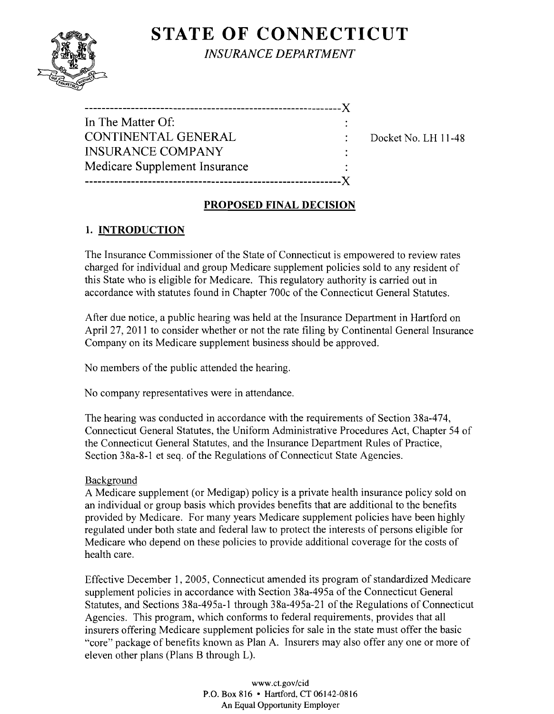# **STATE OF CONNECTICUT**



*INSURANCE DEPARTMENT* 

| In The Matter Of:             |  |
|-------------------------------|--|
| <b>CONTINENTAL GENERAL</b>    |  |
| <b>INSURANCE COMPANY</b>      |  |
| Medicare Supplement Insurance |  |
|                               |  |
|                               |  |

Docket No. LH 11-48

## PROPOSED FINAL DECISION

## 1. INTRODUCTION

The Insurance Commissioner of the State of Connecticut is empowered to review rates charged for individual and group Medicare supplement policies sold to any resident of this State who is eligible for Medicare. This regulatory authority is carried out in accordance with statutes found in Chapter 700c of the Connecticut General Statutes.

After due notice, a public hearing was held at the Insurance Department in Hartford on April 27, 2011 to consider whether or not the rate filing by Continental General Insurance Company on its Medicare supplement business should be approved.

No members of the public attended the hearing.

No company representatives were in attendance.

The hearing was conducted in accordance with the requirements of Section 38a-474, Connecticut General Statutes, the Uniform Administrative Procedures Act, Chapter 54 of the Connecticut General Statutes, and the Insurance Department Rules of Practice, Section 38a-8-1 et seq. of the Regulations of Connecticut State Agencies.

### Background

A Medicare supplement (or Medigap) policy is a private health insurance policy sold on an individual or group basis which provides benefits that are additional to the benefits provided by Medicare. For many years Medicare supplement policies have been highly regulated under both state and federal law to protect the interests of persons eligible for Medicare who depend on these policies to provide additional coverage for the costs of health care.

Effective December 1,2005, Connecticut amended its program of standardized Medicare supplement policies in accordance with Section 38a-495a of the Connecticut General Statutes, and Sections 38a-495a-l through 38a-495a-21 of the Regulations of Connecticut Agencies. This program, which conforms to federal requirements, provides that all insurers offering Medicare supplement policies for sale in the state must offer the basic "core" package of benefits known as Plan A. Insurers may also offer anyone or more of eleven other plans (Plans B through L).

> www.ct.gov/cid P.O. Box 816 • Hartford, CT 06142-0816 An Equal Opportunity Employer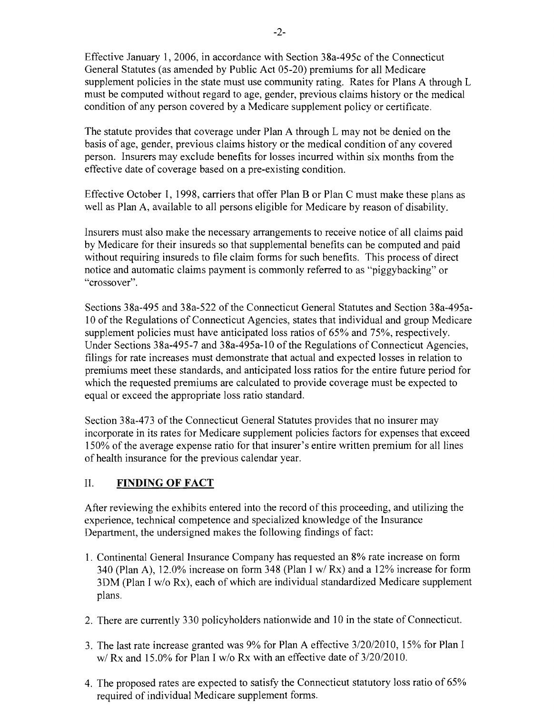Effective January 1,2006, in accordance with Section 38a-495c of the Connecticut General Statutes (as amended by Public Act 05-20) premiums for all Medicare supplement policies in the state must use community rating. Rates for Plans A through L must be computed without regard to age, gender, previous claims history or the medical condition of any person covered by a Medicare supplement policy or certificate.

The statute provides that coverage under Plan A through L may not be denied on the basis of age, gender, previous claims history or the medical condition of any covered person. Insurers may exclude benefits for losses incurred within six months from the effective date of coverage based on a pre-existing condition.

Effective October 1, 1998, carriers that offer Plan B or Plan C must make these plans as well as Plan A, available to all persons eligible for Medicare by reason of disability.

Insurers must also make the necessary arrangements to receive notice of all claims paid by Medicare for their insureds so that supplemental benefits can be computed and paid without requiring insureds to file claim forms for such benefits. This process of direct notice and automatic claims payment is commonly referred to as "piggybacking" or "crossover".

Sections 38a-495 and 38a-522 of the Connecticut General Statutes and Section 38a-495a-10 of the Regulations of Connecticut Agencies, states that individual and group Medicare supplement policies must have anticipated loss ratios of 65% and 75%, respectively. Under Sections 38a-495-7 and 38a-495a-l 0 of the Regulations of Connecticut Agencies, filings for rate increases must demonstrate that actual and expected losses in relation to premiums meet these standards, and anticipated loss ratios for the entire future period for which the requested premiums are calculated to provide coverage must be expected to equal or exceed the appropriate loss ratio standard.

Section 38a-473 of the Connecticut General Statutes provides that no insurer may incorporate in its rates for Medicare supplement policies factors for expenses that exceed 150% of the average expense ratio for that insurer's entire written premium for all lines of health insurance for the previous calendar year.

#### II. **FINDING OF FACT**

After reviewing the exhibits entered into the record of this proceeding, and utilizing the experience, technical competence and specialized knowledge of the Insurance Department, the undersigned makes the following findings of fact:

- 1. Continental General Insurance Company has requested an 8% rate increase on form 340 (Plan A), 12.0% increase on form 348 (Plan I *wi* Rx) and a 12% increase for form 3DM (Plan I *wlo* Rx), each of which are individual standardized Medicare supplement plans.
- 2. There are currently 330 policyholders nationwide and 10 in the state of Connecticut.
- 3. The last rate increase granted was 9% for Plan A effective *3/20/2010,* 15% for Plan I *wi* Rx and 15.0% for Plan I *wlo* Rx with an effective date of *3/20/2010.*
- 4. The proposed rates are expected to satisfy the Connecticut statutory loss ratio of 65% required of individual Medicare supplement forms.